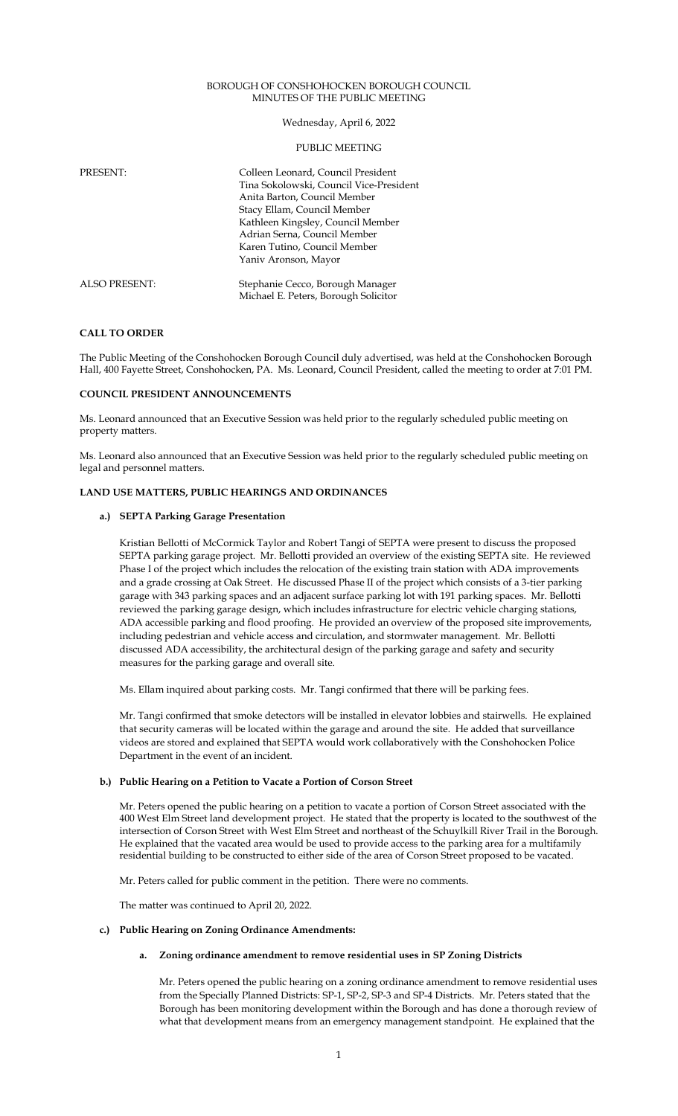#### BOROUGH OF CONSHOHOCKEN BOROUGH COUNCIL MINUTES OF THE PUBLIC MEETING

Wednesday, April 6, 2022

### PUBLIC MEETING

| <b>PRESENT:</b>      | Colleen Leonard, Council President<br>Tina Sokolowski, Council Vice-President<br>Anita Barton, Council Member<br>Stacy Ellam, Council Member<br>Kathleen Kingsley, Council Member<br>Adrian Serna, Council Member<br>Karen Tutino, Council Member<br>Yaniv Aronson, Mayor |
|----------------------|---------------------------------------------------------------------------------------------------------------------------------------------------------------------------------------------------------------------------------------------------------------------------|
| <b>ALSO PRESENT:</b> | Stephanie Cecco, Borough Manager<br>Michael E. Peters, Borough Solicitor                                                                                                                                                                                                  |

# **CALL TO ORDER**

The Public Meeting of the Conshohocken Borough Council duly advertised, was held at the Conshohocken Borough Hall, 400 Fayette Street, Conshohocken, PA. Ms. Leonard, Council President, called the meeting to order at 7:01 PM.

## **COUNCIL PRESIDENT ANNOUNCEMENTS**

Ms. Leonard announced that an Executive Session was held prior to the regularly scheduled public meeting on property matters.

Ms. Leonard also announced that an Executive Session was held prior to the regularly scheduled public meeting on legal and personnel matters.

# **LAND USE MATTERS, PUBLIC HEARINGS AND ORDINANCES**

# **a.) SEPTA Parking Garage Presentation**

Kristian Bellotti of McCormick Taylor and Robert Tangi of SEPTA were present to discuss the proposed SEPTA parking garage project. Mr. Bellotti provided an overview of the existing SEPTA site. He reviewed Phase I of the project which includes the relocation of the existing train station with ADA improvements and a grade crossing at Oak Street. He discussed Phase II of the project which consists of a 3-tier parking garage with 343 parking spaces and an adjacent surface parking lot with 191 parking spaces. Mr. Bellotti reviewed the parking garage design, which includes infrastructure for electric vehicle charging stations, ADA accessible parking and flood proofing. He provided an overview of the proposed site improvements, including pedestrian and vehicle access and circulation, and stormwater management. Mr. Bellotti discussed ADA accessibility, the architectural design of the parking garage and safety and security measures for the parking garage and overall site.

Ms. Ellam inquired about parking costs. Mr. Tangi confirmed that there will be parking fees.

Mr. Tangi confirmed that smoke detectors will be installed in elevator lobbies and stairwells. He explained that security cameras will be located within the garage and around the site. He added that surveillance videos are stored and explained that SEPTA would work collaboratively with the Conshohocken Police Department in the event of an incident.

# **b.) Public Hearing on a Petition to Vacate a Portion of Corson Street**

Mr. Peters opened the public hearing on a petition to vacate a portion of Corson Street associated with the 400 West Elm Street land development project. He stated that the property is located to the southwest of the intersection of Corson Street with West Elm Street and northeast of the Schuylkill River Trail in the Borough. He explained that the vacated area would be used to provide access to the parking area for a multifamily residential building to be constructed to either side of the area of Corson Street proposed to be vacated.

Mr. Peters called for public comment in the petition. There were no comments.

The matter was continued to April 20, 2022.

**c.) Public Hearing on Zoning Ordinance Amendments:** 

## **a. Zoning ordinance amendment to remove residential uses in SP Zoning Districts**

Mr. Peters opened the public hearing on a zoning ordinance amendment to remove residential uses from the Specially Planned Districts: SP-1, SP-2, SP-3 and SP-4 Districts. Mr. Peters stated that the Borough has been monitoring development within the Borough and has done a thorough review of what that development means from an emergency management standpoint. He explained that the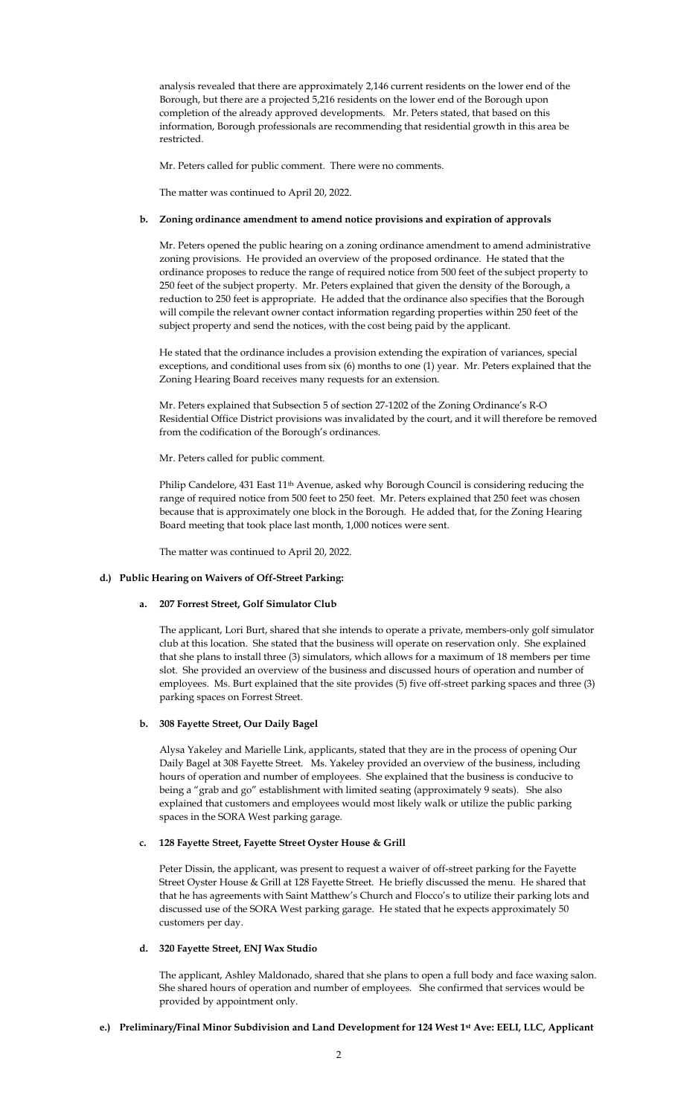analysis revealed that there are approximately 2,146 current residents on the lower end of the Borough, but there are a projected 5,216 residents on the lower end of the Borough upon completion of the already approved developments. Mr. Peters stated, that based on this information, Borough professionals are recommending that residential growth in this area be restricted.

Mr. Peters called for public comment. There were no comments.

The matter was continued to April 20, 2022.

## **b. Zoning ordinance amendment to amend notice provisions and expiration of approvals**

Mr. Peters opened the public hearing on a zoning ordinance amendment to amend administrative zoning provisions. He provided an overview of the proposed ordinance. He stated that the ordinance proposes to reduce the range of required notice from 500 feet of the subject property to 250 feet of the subject property. Mr. Peters explained that given the density of the Borough, a reduction to 250 feet is appropriate. He added that the ordinance also specifies that the Borough will compile the relevant owner contact information regarding properties within 250 feet of the subject property and send the notices, with the cost being paid by the applicant.

He stated that the ordinance includes a provision extending the expiration of variances, special exceptions, and conditional uses from six (6) months to one (1) year. Mr. Peters explained that the Zoning Hearing Board receives many requests for an extension.

Mr. Peters explained that Subsection 5 of section 27-1202 of the Zoning Ordinance's R-O Residential Office District provisions was invalidated by the court, and it will therefore be removed from the codification of the Borough's ordinances.

Mr. Peters called for public comment.

Philip Candelore, 431 East 11<sup>th</sup> Avenue, asked why Borough Council is considering reducing the range of required notice from 500 feet to 250 feet. Mr. Peters explained that 250 feet was chosen because that is approximately one block in the Borough. He added that, for the Zoning Hearing Board meeting that took place last month, 1,000 notices were sent.

The matter was continued to April 20, 2022.

# **d.) Public Hearing on Waivers of Off-Street Parking:**

# **a. 207 Forrest Street, Golf Simulator Club**

The applicant, Lori Burt, shared that she intends to operate a private, members-only golf simulator club at this location. She stated that the business will operate on reservation only. She explained that she plans to install three (3) simulators, which allows for a maximum of 18 members per time slot. She provided an overview of the business and discussed hours of operation and number of employees. Ms. Burt explained that the site provides (5) five off-street parking spaces and three (3) parking spaces on Forrest Street.

## **b. 308 Fayette Street, Our Daily Bagel**

Alysa Yakeley and Marielle Link, applicants, stated that they are in the process of opening Our Daily Bagel at 308 Fayette Street. Ms. Yakeley provided an overview of the business, including hours of operation and number of employees. She explained that the business is conducive to being a "grab and go" establishment with limited seating (approximately 9 seats). She also explained that customers and employees would most likely walk or utilize the public parking spaces in the SORA West parking garage.

#### **c. 128 Fayette Street, Fayette Street Oyster House & Grill**

Peter Dissin, the applicant, was present to request a waiver of off-street parking for the Fayette Street Oyster House & Grill at 128 Fayette Street. He briefly discussed the menu. He shared that that he has agreements with Saint Matthew's Church and Flocco's to utilize their parking lots and discussed use of the SORA West parking garage. He stated that he expects approximately 50 customers per day.

# **d. 320 Fayette Street, ENJ Wax Studio**

The applicant, Ashley Maldonado, shared that she plans to open a full body and face waxing salon. She shared hours of operation and number of employees. She confirmed that services would be provided by appointment only.

# **e.) Preliminary/Final Minor Subdivision and Land Development for 124 West 1st Ave: EELI, LLC, Applicant**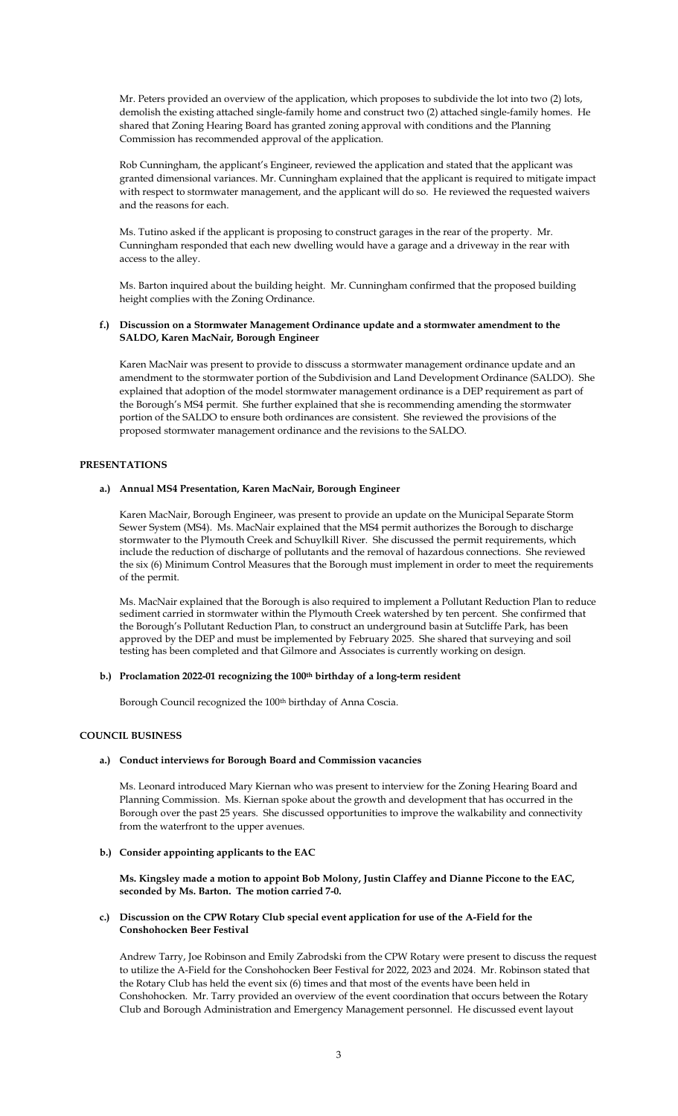Mr. Peters provided an overview of the application, which proposes to subdivide the lot into two (2) lots, demolish the existing attached single-family home and construct two (2) attached single-family homes. He shared that Zoning Hearing Board has granted zoning approval with conditions and the Planning Commission has recommended approval of the application.

Rob Cunningham, the applicant's Engineer, reviewed the application and stated that the applicant was granted dimensional variances. Mr. Cunningham explained that the applicant is required to mitigate impact with respect to stormwater management, and the applicant will do so. He reviewed the requested waivers and the reasons for each.

Ms. Tutino asked if the applicant is proposing to construct garages in the rear of the property. Mr. Cunningham responded that each new dwelling would have a garage and a driveway in the rear with access to the alley.

Ms. Barton inquired about the building height. Mr. Cunningham confirmed that the proposed building height complies with the Zoning Ordinance.

# **f.) Discussion on a Stormwater Management Ordinance update and a stormwater amendment to the SALDO, Karen MacNair, Borough Engineer**

Karen MacNair was present to provide to disscuss a stormwater management ordinance update and an amendment to the stormwater portion of the Subdivision and Land Development Ordinance (SALDO). She explained that adoption of the model stormwater management ordinance is a DEP requirement as part of the Borough's MS4 permit. She further explained that she is recommending amending the stormwater portion of the SALDO to ensure both ordinances are consistent. She reviewed the provisions of the proposed stormwater management ordinance and the revisions to the SALDO.

#### **PRESENTATIONS**

#### **a.) Annual MS4 Presentation, Karen MacNair, Borough Engineer**

Karen MacNair, Borough Engineer, was present to provide an update on the Municipal Separate Storm Sewer System (MS4). Ms. MacNair explained that the MS4 permit authorizes the Borough to discharge stormwater to the Plymouth Creek and Schuylkill River. She discussed the permit requirements, which include the reduction of discharge of pollutants and the removal of hazardous connections. She reviewed the six (6) Minimum Control Measures that the Borough must implement in order to meet the requirements of the permit.

Ms. MacNair explained that the Borough is also required to implement a Pollutant Reduction Plan to reduce sediment carried in stormwater within the Plymouth Creek watershed by ten percent. She confirmed that the Borough's Pollutant Reduction Plan, to construct an underground basin at Sutcliffe Park, has been approved by the DEP and must be implemented by February 2025. She shared that surveying and soil testing has been completed and that Gilmore and Associates is currently working on design.

# **b.) Proclamation 2022-01 recognizing the 100th birthday of a long-term resident**

Borough Council recognized the 100<sup>th</sup> birthday of Anna Coscia.

# **COUNCIL BUSINESS**

# **a.) Conduct interviews for Borough Board and Commission vacancies**

Ms. Leonard introduced Mary Kiernan who was present to interview for the Zoning Hearing Board and Planning Commission. Ms. Kiernan spoke about the growth and development that has occurred in the Borough over the past 25 years. She discussed opportunities to improve the walkability and connectivity from the waterfront to the upper avenues.

### **b.) Consider appointing applicants to the EAC**

**Ms. Kingsley made a motion to appoint Bob Molony, Justin Claffey and Dianne Piccone to the EAC, seconded by Ms. Barton. The motion carried 7-0.**

# **c.) Discussion on the CPW Rotary Club special event application for use of the A-Field for the Conshohocken Beer Festival**

Andrew Tarry, Joe Robinson and Emily Zabrodski from the CPW Rotary were present to discuss the request to utilize the A-Field for the Conshohocken Beer Festival for 2022, 2023 and 2024. Mr. Robinson stated that the Rotary Club has held the event six (6) times and that most of the events have been held in Conshohocken. Mr. Tarry provided an overview of the event coordination that occurs between the Rotary Club and Borough Administration and Emergency Management personnel. He discussed event layout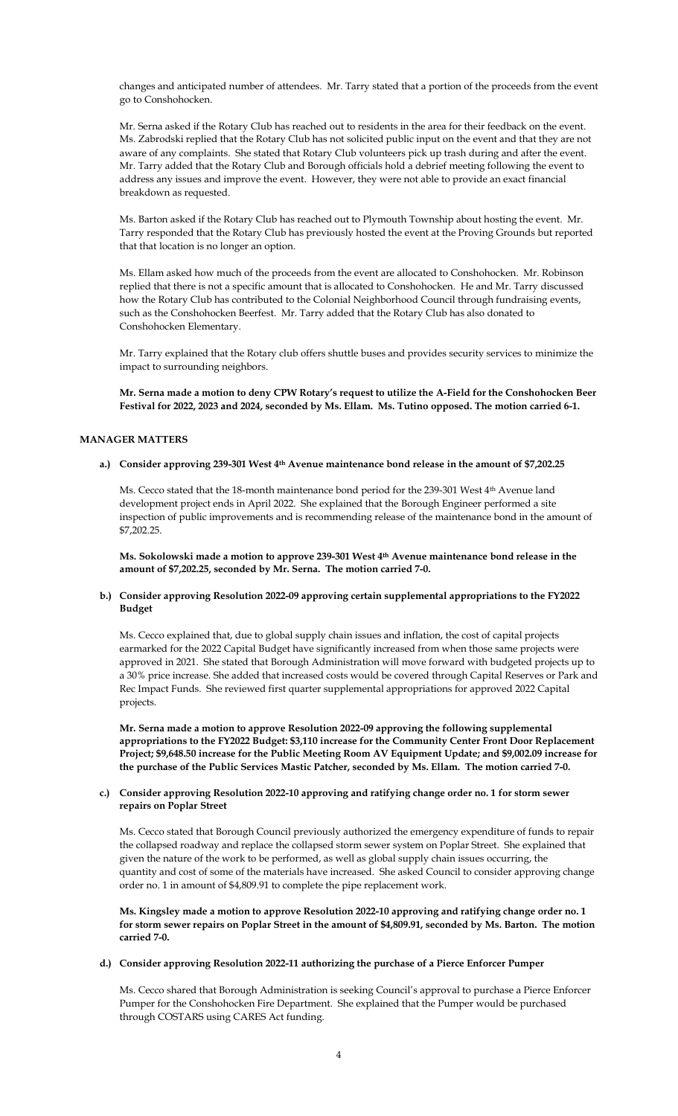changes and anticipated number of attendees. Mr. Tarry stated that a portion of the proceeds from the event go to Conshohocken.

Mr. Serna asked if the Rotary Club has reached out to residents in the area for their feedback on the event. Ms. Zabrodski replied that the Rotary Club has not solicited public input on the event and that they are not aware of any complaints. She stated that Rotary Club volunteers pick up trash during and after the event. Mr. Tarry added that the Rotary Club and Borough officials hold a debrief meeting following the event to address any issues and improve the event. However, they were not able to provide an exact financial breakdown as requested.

Ms. Barton asked if the Rotary Club has reached out to Plymouth Township about hosting the event. Mr. Tarry responded that the Rotary Club has previously hosted the event at the Proving Grounds but reported that that location is no longer an option.

Ms. Ellam asked how much of the proceeds from the event are allocated to Conshohocken. Mr. Robinson replied that there is not a specific amount that is allocated to Conshohocken. He and Mr. Tarry discussed how the Rotary Club has contributed to the Colonial Neighborhood Council through fundraising events, such as the Conshohocken Beerfest. Mr. Tarry added that the Rotary Club has also donated to Conshohocken Elementary.

Mr. Tarry explained that the Rotary club offers shuttle buses and provides security services to minimize the impact to surrounding neighbors.

**Mr. Serna made a motion to deny CPW Rotary's request to utilize the A-Field for the Conshohocken Beer Festival for 2022, 2023 and 2024, seconded by Ms. Ellam. Ms. Tutino opposed. The motion carried 6-1.** 

# **MANAGER MATTERS**

#### **a.) Consider approving 239-301 West 4th Avenue maintenance bond release in the amount of \$7,202.25**

Ms. Cecco stated that the 18-month maintenance bond period for the 239-301 West 4th Avenue land development project ends in April 2022. She explained that the Borough Engineer performed a site inspection of public improvements and is recommending release of the maintenance bond in the amount of \$7,202.25.

**Ms. Sokolowski made a motion to approve 239-301 West 4th Avenue maintenance bond release in the amount of \$7,202.25, seconded by Mr. Serna. The motion carried 7-0.** 

# **b.) Consider approving Resolution 2022-09 approving certain supplemental appropriations to the FY2022 Budget**

Ms. Cecco explained that, due to global supply chain issues and inflation, the cost of capital projects earmarked for the 2022 Capital Budget have significantly increased from when those same projects were approved in 2021. She stated that Borough Administration will move forward with budgeted projects up to a 30% price increase. She added that increased costs would be covered through Capital Reserves or Park and Rec Impact Funds. She reviewed first quarter supplemental appropriations for approved 2022 Capital projects.

**Mr. Serna made a motion to approve Resolution 2022-09 approving the following supplemental appropriations to the FY2022 Budget: \$3,110 increase for the Community Center Front Door Replacement Project; \$9,648.50 increase for the Public Meeting Room AV Equipment Update; and \$9,002.09 increase for the purchase of the Public Services Mastic Patcher, seconded by Ms. Ellam. The motion carried 7-0.**

# **c.) Consider approving Resolution 2022-10 approving and ratifying change order no. 1 for storm sewer repairs on Poplar Street**

Ms. Cecco stated that Borough Council previously authorized the emergency expenditure of funds to repair the collapsed roadway and replace the collapsed storm sewer system on Poplar Street. She explained that given the nature of the work to be performed, as well as global supply chain issues occurring, the quantity and cost of some of the materials have increased. She asked Council to consider approving change order no. 1 in amount of \$4,809.91 to complete the pipe replacement work.

**Ms. Kingsley made a motion to approve Resolution 2022-10 approving and ratifying change order no. 1 for storm sewer repairs on Poplar Street in the amount of \$4,809.91, seconded by Ms. Barton. The motion carried 7-0.**

# **d.) Consider approving Resolution 2022-11 authorizing the purchase of a Pierce Enforcer Pumper**

Ms. Cecco shared that Borough Administration is seeking Council's approval to purchase a Pierce Enforcer Pumper for the Conshohocken Fire Department. She explained that the Pumper would be purchased through COSTARS using CARES Act funding.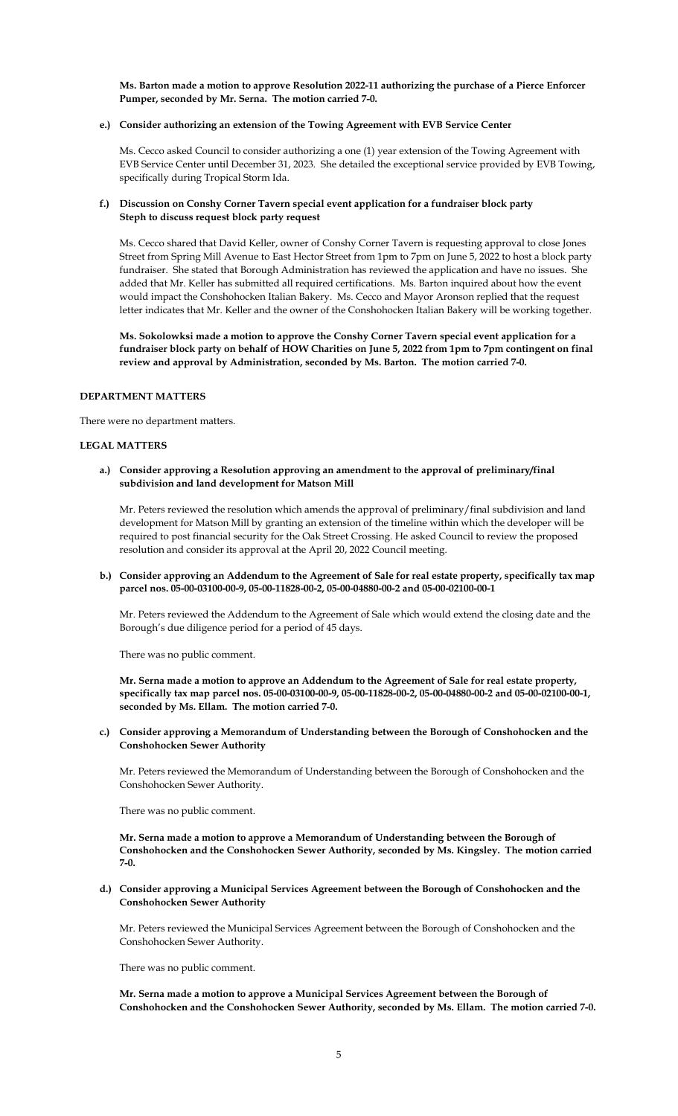**Ms. Barton made a motion to approve Resolution 2022-11 authorizing the purchase of a Pierce Enforcer Pumper, seconded by Mr. Serna. The motion carried 7-0.**

#### **e.) Consider authorizing an extension of the Towing Agreement with EVB Service Center**

Ms. Cecco asked Council to consider authorizing a one (1) year extension of the Towing Agreement with EVB Service Center until December 31, 2023. She detailed the exceptional service provided by EVB Towing, specifically during Tropical Storm Ida.

## **f.) Discussion on Conshy Corner Tavern special event application for a fundraiser block party Steph to discuss request block party request**

Ms. Cecco shared that David Keller, owner of Conshy Corner Tavern is requesting approval to close Jones Street from Spring Mill Avenue to East Hector Street from 1pm to 7pm on June 5, 2022 to host a block party fundraiser. She stated that Borough Administration has reviewed the application and have no issues. She added that Mr. Keller has submitted all required certifications. Ms. Barton inquired about how the event would impact the Conshohocken Italian Bakery. Ms. Cecco and Mayor Aronson replied that the request letter indicates that Mr. Keller and the owner of the Conshohocken Italian Bakery will be working together.

**Ms. Sokolowksi made a motion to approve the Conshy Corner Tavern special event application for a fundraiser block party on behalf of HOW Charities on June 5, 2022 from 1pm to 7pm contingent on final review and approval by Administration, seconded by Ms. Barton. The motion carried 7-0.**

# **DEPARTMENT MATTERS**

There were no department matters.

#### **LEGAL MATTERS**

**a.) Consider approving a Resolution approving an amendment to the approval of preliminary/final subdivision and land development for Matson Mill** 

Mr. Peters reviewed the resolution which amends the approval of preliminary/final subdivision and land development for Matson Mill by granting an extension of the timeline within which the developer will be required to post financial security for the Oak Street Crossing. He asked Council to review the proposed resolution and consider its approval at the April 20, 2022 Council meeting.

#### **b.) Consider approving an Addendum to the Agreement of Sale for real estate property, specifically tax map parcel nos. 05-00-03100-00-9, 05-00-11828-00-2, 05-00-04880-00-2 and 05-00-02100-00-1**

Mr. Peters reviewed the Addendum to the Agreement of Sale which would extend the closing date and the Borough's due diligence period for a period of 45 days.

There was no public comment.

**Mr. Serna made a motion to approve an Addendum to the Agreement of Sale for real estate property, specifically tax map parcel nos. 05-00-03100-00-9, 05-00-11828-00-2, 05-00-04880-00-2 and 05-00-02100-00-1, seconded by Ms. Ellam. The motion carried 7-0.**

**c.) Consider approving a Memorandum of Understanding between the Borough of Conshohocken and the Conshohocken Sewer Authority**

Mr. Peters reviewed the Memorandum of Understanding between the Borough of Conshohocken and the Conshohocken Sewer Authority.

There was no public comment.

**Mr. Serna made a motion to approve a Memorandum of Understanding between the Borough of Conshohocken and the Conshohocken Sewer Authority, seconded by Ms. Kingsley. The motion carried 7-0.**

**d.) Consider approving a Municipal Services Agreement between the Borough of Conshohocken and the Conshohocken Sewer Authority**

Mr. Peters reviewed the Municipal Services Agreement between the Borough of Conshohocken and the Conshohocken Sewer Authority.

There was no public comment.

**Mr. Serna made a motion to approve a Municipal Services Agreement between the Borough of Conshohocken and the Conshohocken Sewer Authority, seconded by Ms. Ellam. The motion carried 7-0.**